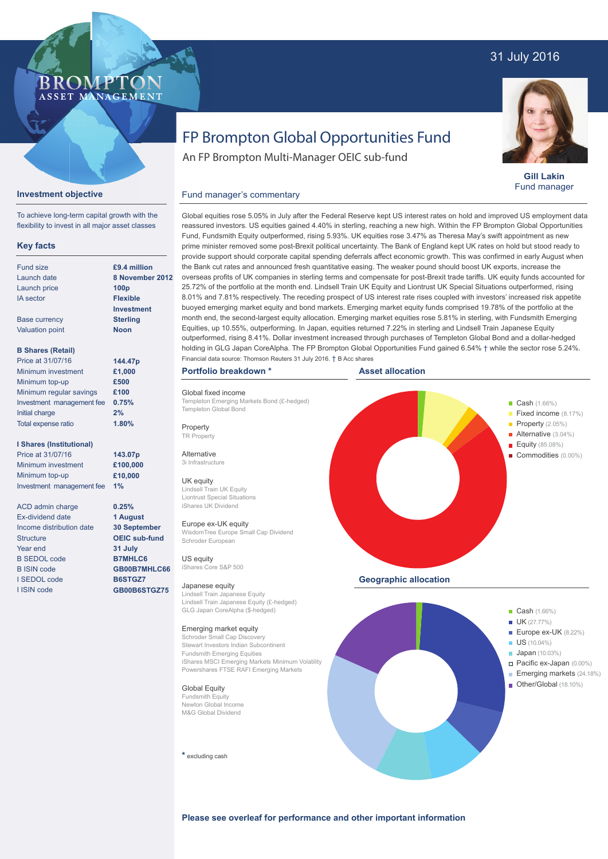## 31 July 2016



**Gill Lakin** Fund manager

# FP Brompton Global Opportunities Fund

An FP Brompton Multi-Manager OEIC sub-fund

## **Investment objective**

**BROMP** 

ASSET MANAGEMENT

To achieve long-term capital growth with the flexibility to invest in all major asset classes

### **Key facts**

| £9.4 milli       |
|------------------|
| 8 Novem          |
| 100 <sub>p</sub> |
| <b>Flexible</b>  |
| Investme         |
| <b>Sterling</b>  |
| Noon             |
|                  |
| 144.47p          |
| £1,000           |
| £500             |
| £100             |
| 0.75%            |
| 2%               |
|                  |

#### **I Shares (Institutional)**

Total expense ratio

Price at 31/07/16 Minimum investment Minimum top-up Investment management fee **1%**

ACD admin charge Ex-dividend date Income distribution date **Structure** Year end B SEDOL code B ISIN code I SEDOL code I ISIN code

 $\overline{\mathbf{a}}$ **ber 2012 Investment**

**1.80%**

**143.07p £100,000 £10,000**

**0.25% 1 August 30 September OEIC sub-fund 31 July B7MHLC6 GB00B7MHLC66 B6STGZ7 GB00B6STGZ75**

## Fund manager's commentary

Global equities rose 5.05% in July after the Federal Reserve kept US interest rates on hold and improved US employment data reassured investors. US equities gained 4.40% in sterling, reaching a new high. Within the FP Brompton Global Opportunities Fund, Fundsmith Equity outperformed, rising 5.93%. UK equities rose 3.47% as Theresa May's swift appointment as new prime minister removed some post-Brexit political uncertainty. The Bank of England kept UK rates on hold but stood ready to provide support should corporate capital spending deferrals affect economic growth. This was confirmed in early August when the Bank cut rates and announced fresh quantitative easing. The weaker pound should boost UK exports, increase the overseas profits of UK companies in sterling terms and compensate for post-Brexit trade tariffs. UK equity funds accounted for 25.72% of the portfolio at the month end. Lindsell Train UK Equity and Liontrust UK Special Situations outperformed, rising 8.01% and 7.81% respectively. The receding prospect of US interest rate rises coupled with investors' increased risk appetite buoyed emerging market equity and bond markets. Emerging market equity funds comprised 19.78% of the portfolio at the month end, the second-largest equity allocation. Emerging market equities rose 5.81% in sterling, with Fundsmith Emerging Equities, up 10.55%, outperforming. In Japan, equities returned 7.22% in sterling and Lindsell Train Japanese Equity outperformed, rising 8.41%. Dollar investment increased through purchases of Templeton Global Bond and a dollar-hedged holding in GLG Japan CoreAlpha. The FP Brompton Global Opportunities Fund gained 6.54%  $\dagger$  while the sector rose 5.24%. Financial data source: Thomson Reuters 31 July 2016. † B Acc shares

#### **Portfolio breakdown \***

Global fixed income Templeton Emerging Markets Bond (£-hedged) Templeton Global Bond

**Property** 

TR Property Alternative

3i Infrastructure

#### UK equity

Lindsell Train UK Equity Liontrust Special Situations iShares UK Dividend

#### Europe ex-UK equity

WisdomTree Europe Small Cap Dividend Schroder European US equity

iShares Core S&P 500

#### Japanese equity

Lindsell Train Japanese Equity Lindsell Train Japanese Equity (£-hedged) GLG Japan CoreAlpha (\$-hedged)

#### Emerging market equity

Schroder Small Cap Discovery Stewart Investors Indian Subcontinent Fundsmith Emerging Equities iShares MSCI Emerging Markets Minimum Volatility Powershares FTSE RAFI Emerging Markets

Global Equity

Fundsmith Equity Newton Global Income M&G Global Dividend

**\*** excluding cash





**Please see overleaf for performance and other important information**